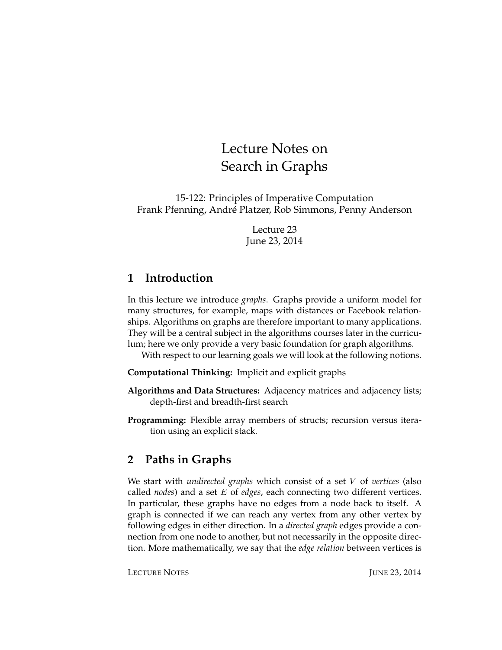# Lecture Notes on Search in Graphs

15-122: Principles of Imperative Computation Frank Pfenning, Andre Platzer, Rob Simmons, Penny Anderson ´

> Lecture 23 June 23, 2014

## **1 Introduction**

In this lecture we introduce *graphs*. Graphs provide a uniform model for many structures, for example, maps with distances or Facebook relationships. Algorithms on graphs are therefore important to many applications. They will be a central subject in the algorithms courses later in the curriculum; here we only provide a very basic foundation for graph algorithms.

With respect to our learning goals we will look at the following notions.

**Computational Thinking:** Implicit and explicit graphs

- **Algorithms and Data Structures:** Adjacency matrices and adjacency lists; depth-first and breadth-first search
- **Programming:** Flexible array members of structs; recursion versus iteration using an explicit stack.

# **2 Paths in Graphs**

We start with *undirected graphs* which consist of a set V of *vertices* (also called *nodes*) and a set E of *edges*, each connecting two different vertices. In particular, these graphs have no edges from a node back to itself. A graph is connected if we can reach any vertex from any other vertex by following edges in either direction. In a *directed graph* edges provide a connection from one node to another, but not necessarily in the opposite direction. More mathematically, we say that the *edge relation* between vertices is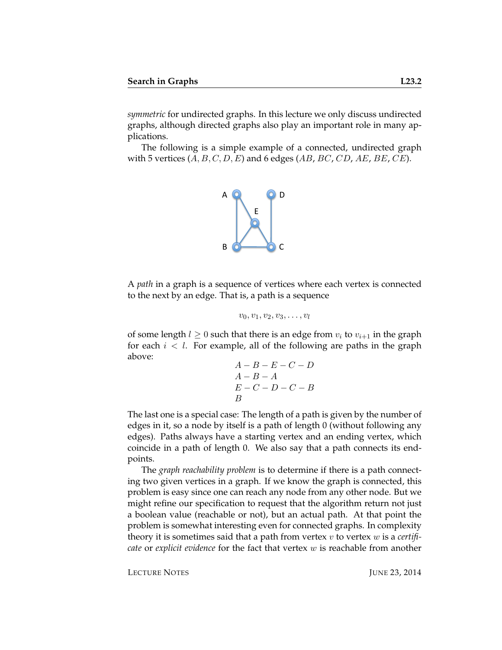*symmetric* for undirected graphs. In this lecture we only discuss undirected graphs, although directed graphs also play an important role in many applications.

The following is a simple example of a connected, undirected graph with 5 vertices  $(A, B, C, D, E)$  and 6 edges  $(AB, BC, CD, AE, BE, CE)$ .



A *path* in a graph is a sequence of vertices where each vertex is connected to the next by an edge. That is, a path is a sequence

$$
v_0,v_1,v_2,v_3,\ldots,v_l
$$

of some length  $l \geq 0$  such that there is an edge from  $v_i$  to  $v_{i+1}$  in the graph for each  $i < l$ . For example, all of the following are paths in the graph above:

$$
\begin{array}{c} A-B-E-C-D\\ A-B-A\\ E-C-D-C-B\\ B \end{array}
$$

The last one is a special case: The length of a path is given by the number of edges in it, so a node by itself is a path of length 0 (without following any edges). Paths always have a starting vertex and an ending vertex, which coincide in a path of length 0. We also say that a path connects its endpoints.

The *graph reachability problem* is to determine if there is a path connecting two given vertices in a graph. If we know the graph is connected, this problem is easy since one can reach any node from any other node. But we might refine our specification to request that the algorithm return not just a boolean value (reachable or not), but an actual path. At that point the problem is somewhat interesting even for connected graphs. In complexity theory it is sometimes said that a path from vertex v to vertex w is a *certificate* or *explicit evidence* for the fact that vertex w is reachable from another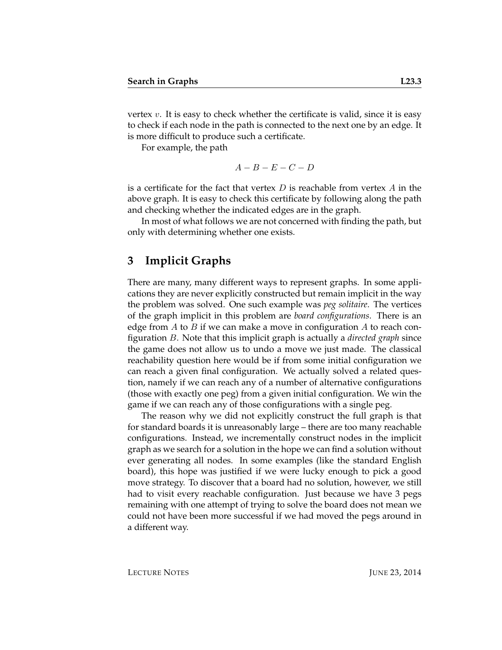vertex  $v$ . It is easy to check whether the certificate is valid, since it is easy to check if each node in the path is connected to the next one by an edge. It is more difficult to produce such a certificate.

For example, the path

$$
A-B-E-C-D
$$

is a certificate for the fact that vertex  $D$  is reachable from vertex  $A$  in the above graph. It is easy to check this certificate by following along the path and checking whether the indicated edges are in the graph.

In most of what follows we are not concerned with finding the path, but only with determining whether one exists.

#### **3 Implicit Graphs**

There are many, many different ways to represent graphs. In some applications they are never explicitly constructed but remain implicit in the way the problem was solved. One such example was *peg solitaire*. The vertices of the graph implicit in this problem are *board configurations*. There is an edge from  $A$  to  $B$  if we can make a move in configuration  $A$  to reach configuration B. Note that this implicit graph is actually a *directed graph* since the game does not allow us to undo a move we just made. The classical reachability question here would be if from some initial configuration we can reach a given final configuration. We actually solved a related question, namely if we can reach any of a number of alternative configurations (those with exactly one peg) from a given initial configuration. We win the game if we can reach any of those configurations with a single peg.

The reason why we did not explicitly construct the full graph is that for standard boards it is unreasonably large – there are too many reachable configurations. Instead, we incrementally construct nodes in the implicit graph as we search for a solution in the hope we can find a solution without ever generating all nodes. In some examples (like the standard English board), this hope was justified if we were lucky enough to pick a good move strategy. To discover that a board had no solution, however, we still had to visit every reachable configuration. Just because we have 3 pegs remaining with one attempt of trying to solve the board does not mean we could not have been more successful if we had moved the pegs around in a different way.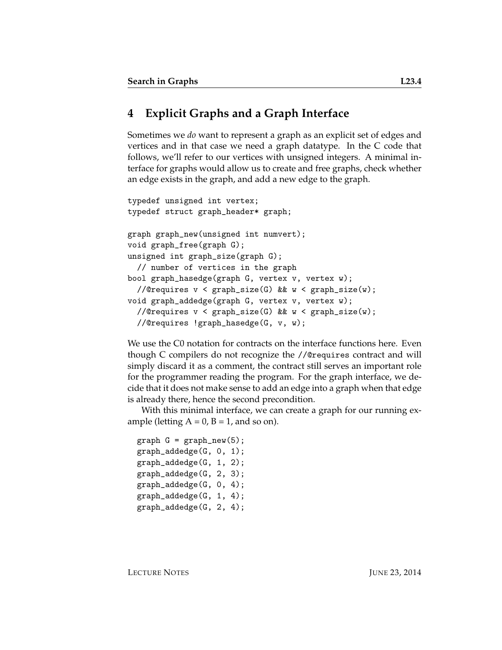### **4 Explicit Graphs and a Graph Interface**

Sometimes we *do* want to represent a graph as an explicit set of edges and vertices and in that case we need a graph datatype. In the C code that follows, we'll refer to our vertices with unsigned integers. A minimal interface for graphs would allow us to create and free graphs, check whether an edge exists in the graph, and add a new edge to the graph.

```
typedef unsigned int vertex;
typedef struct graph_header* graph;
graph graph_new(unsigned int numvert);
void graph_free(graph G);
unsigned int graph_size(graph G);
  // number of vertices in the graph
bool graph_hasedge(graph G, vertex v, vertex w);
  //@requires v < graph_size(G) && w < graph_size(w);
void graph_addedge(graph G, vertex v, vertex w);
  //@requires v < graph_size(G) && w < graph_size(w);
  //@requires !graph_hasedge(G, v, w);
```
We use the C0 notation for contracts on the interface functions here. Even though C compilers do not recognize the //@requires contract and will simply discard it as a comment, the contract still serves an important role for the programmer reading the program. For the graph interface, we decide that it does not make sense to add an edge into a graph when that edge is already there, hence the second precondition.

With this minimal interface, we can create a graph for our running example (letting  $A = 0$ ,  $B = 1$ , and so on).

```
graph G = graph_new(5);
graph_addedge(G, 0, 1);
graph_addedge(G, 1, 2);
graph_addedge(G, 2, 3);
graph_addedge(G, 0, 4);
graph_addedge(G, 1, 4);
graph_addedge(G, 2, 4);
```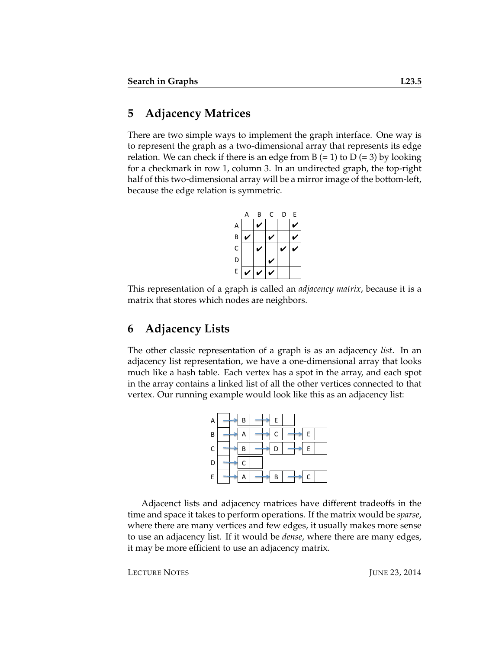### **5 Adjacency Matrices**

There are two simple ways to implement the graph interface. One way is to represent the graph as a two-dimensional array that represents its edge relation. We can check if there is an edge from  $B (= 1)$  to  $D (= 3)$  by looking for a checkmark in row 1, column 3. In an undirected graph, the top-right half of this two-dimensional array will be a mirror image of the bottom-left, because the edge relation is symmetric.



This representation of a graph is called an *adjacency matrix*, because it is a matrix that stores which nodes are neighbors.

### **6 Adjacency Lists**

The other classic representation of a graph is as an adjacency *list*. In an adjacency list representation, we have a one-dimensional array that looks much like a hash table. Each vertex has a spot in the array, and each spot in the array contains a linked list of all the other vertices connected to that vertex. Our running example would look like this as an adjacency list:



Adjacenct lists and adjacency matrices have different tradeoffs in the time and space it takes to perform operations. If the matrix would be *sparse*, where there are many vertices and few edges, it usually makes more sense to use an adjacency list. If it would be *dense*, where there are many edges, it may be more efficient to use an adjacency matrix.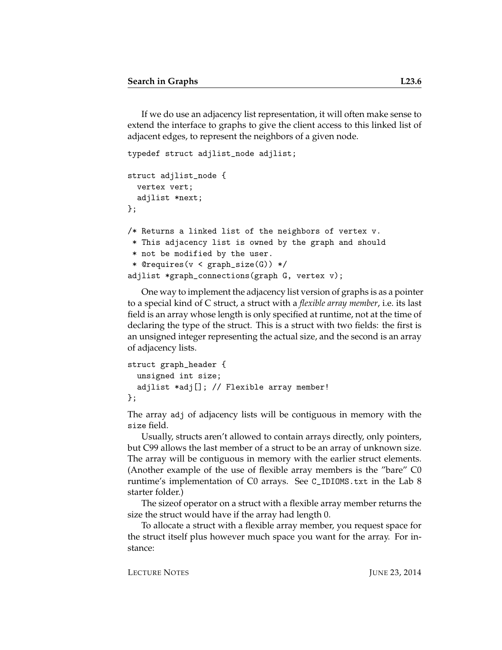If we do use an adjacency list representation, it will often make sense to extend the interface to graphs to give the client access to this linked list of adjacent edges, to represent the neighbors of a given node.

```
typedef struct adjlist_node adjlist;
struct adjlist_node {
 vertex vert;
  adjlist *next;
};
/* Returns a linked list of the neighbors of vertex v.
* This adjacency list is owned by the graph and should
 * not be modified by the user.
 * @requires(v < graph_size(G)) */
adjlist *graph_connections(graph G, vertex v);
```
One way to implement the adjacency list version of graphs is as a pointer to a special kind of C struct, a struct with a *flexible array member*, i.e. its last field is an array whose length is only specified at runtime, not at the time of declaring the type of the struct. This is a struct with two fields: the first is an unsigned integer representing the actual size, and the second is an array of adjacency lists.

```
struct graph_header {
  unsigned int size;
  adjlist *adj[]; // Flexible array member!
};
```
The array adj of adjacency lists will be contiguous in memory with the size field.

Usually, structs aren't allowed to contain arrays directly, only pointers, but C99 allows the last member of a struct to be an array of unknown size. The array will be contiguous in memory with the earlier struct elements. (Another example of the use of flexible array members is the "bare" C0 runtime's implementation of C0 arrays. See C\_IDIOMS.txt in the Lab 8 starter folder.)

The sizeof operator on a struct with a flexible array member returns the size the struct would have if the array had length 0.

To allocate a struct with a flexible array member, you request space for the struct itself plus however much space you want for the array. For instance: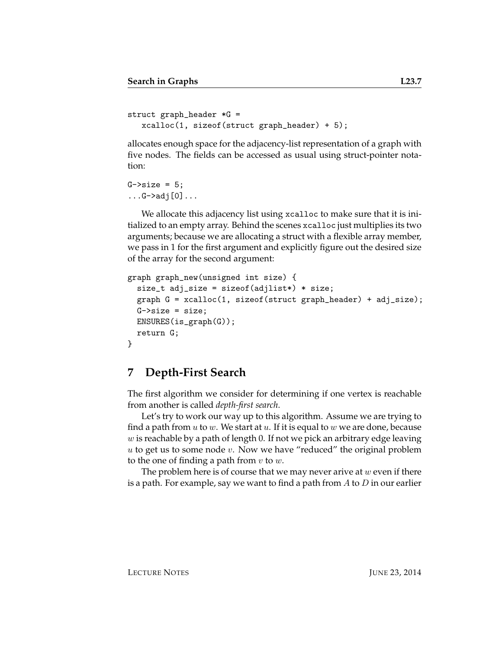```
struct graph_header *G =
  xcalloc(1, sizeof(struct graph_header) + 5);
```
allocates enough space for the adjacency-list representation of a graph with five nodes. The fields can be accessed as usual using struct-pointer notation:

 $G\rightarrow size = 5;$  $\dots$ G->adj $[0] \dots$ 

We allocate this adjacency list using xcalloc to make sure that it is initialized to an empty array. Behind the scenes xcalloc just multiplies its two arguments; because we are allocating a struct with a flexible array member, we pass in 1 for the first argument and explicitly figure out the desired size of the array for the second argument:

```
graph graph_new(unsigned int size) {
  size_t adj_size = sizeof(adjlist*) * size;
  graph G = xcalloc(1, sizeof(struct graph_header) + adj_size);
 G\rightarrow size = size;ENSURES(is_graph(G));
  return G;
}
```
#### **7 Depth-First Search**

The first algorithm we consider for determining if one vertex is reachable from another is called *depth-first search*.

Let's try to work our way up to this algorithm. Assume we are trying to find a path from  $u$  to  $w$ . We start at  $u$ . If it is equal to  $w$  we are done, because  $w$  is reachable by a path of length 0. If not we pick an arbitrary edge leaving  $u$  to get us to some node  $v$ . Now we have "reduced" the original problem to the one of finding a path from  $v$  to  $w$ .

The problem here is of course that we may never arive at  $w$  even if there is a path. For example, say we want to find a path from  $A$  to  $D$  in our earlier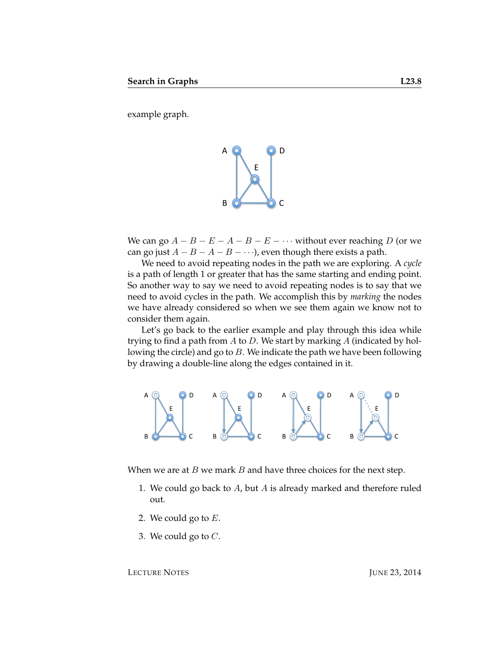example graph.



We can go  $A - B - E - A - B - E - \cdots$  without ever reaching D (or we can go just  $A - B - A - B - \cdots$ , even though there exists a path.

We need to avoid repeating nodes in the path we are exploring. A *cycle* is a path of length 1 or greater that has the same starting and ending point. So another way to say we need to avoid repeating nodes is to say that we need to avoid cycles in the path. We accomplish this by *marking* the nodes we have already considered so when we see them again we know not to consider them again.

Let's go back to the earlier example and play through this idea while trying to find a path from  $A$  to  $D$ . We start by marking  $A$  (indicated by hollowing the circle) and go to  $B$ . We indicate the path we have been following by drawing a double-line along the edges contained in it.



When we are at  $B$  we mark  $B$  and have three choices for the next step.

- 1. We could go back to  $A$ , but  $A$  is already marked and therefore ruled out.
- 2. We could go to  $E$ .
- 3. We could go to  $C$ .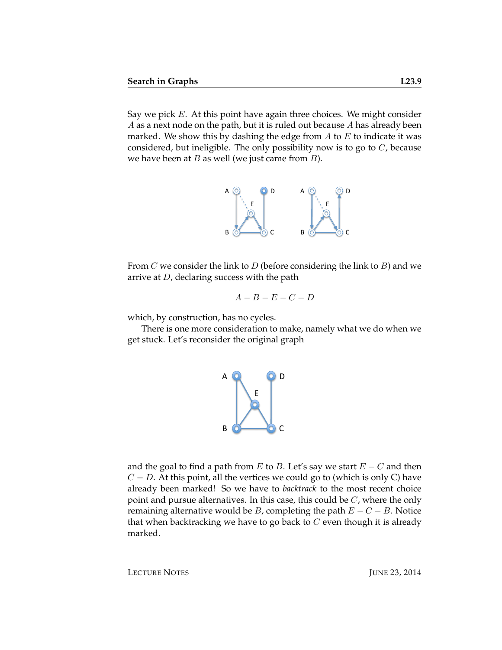Say we pick  $E$ . At this point have again three choices. We might consider A as a next node on the path, but it is ruled out because A has already been marked. We show this by dashing the edge from  $A$  to  $E$  to indicate it was considered, but ineligible. The only possibility now is to go to  $C$ , because we have been at  $B$  as well (we just came from  $B$ ).



From  $C$  we consider the link to  $D$  (before considering the link to  $B$ ) and we arrive at D, declaring success with the path

$$
A-B-E-C-D
$$

which, by construction, has no cycles.

There is one more consideration to make, namely what we do when we get stuck. Let's reconsider the original graph



and the goal to find a path from E to B. Let's say we start  $E - C$  and then  $C - D$ . At this point, all the vertices we could go to (which is only C) have already been marked! So we have to *backtrack* to the most recent choice point and pursue alternatives. In this case, this could be  $C$ , where the only remaining alternative would be B, completing the path  $E - C - B$ . Notice that when backtracking we have to go back to  $C$  even though it is already marked.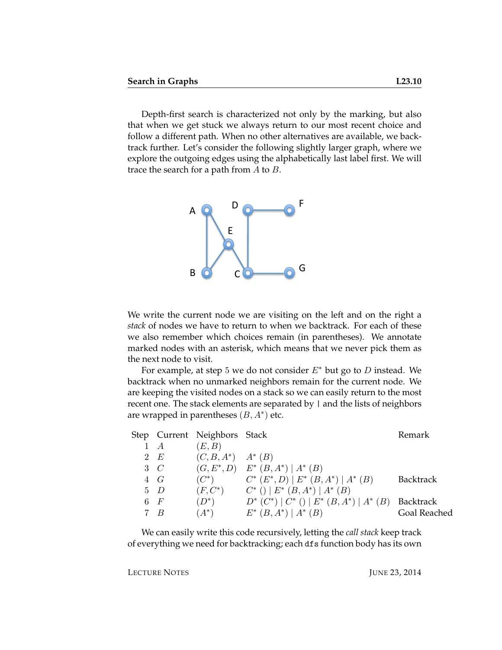Depth-first search is characterized not only by the marking, but also that when we get stuck we always return to our most recent choice and follow a different path. When no other alternatives are available, we backtrack further. Let's consider the following slightly larger graph, where we explore the outgoing edges using the alphabetically last label first. We will trace the search for a path from  $A$  to  $B$ .



We write the current node we are visiting on the left and on the right a *stack* of nodes we have to return to when we backtrack. For each of these we also remember which choices remain (in parentheses). We annotate marked nodes with an asterisk, which means that we never pick them as the next node to visit.

For example, at step 5 we do not consider  $E^*$  but go to D instead. We backtrack when no unmarked neighbors remain for the current node. We are keeping the visited nodes on a stack so we can easily return to the most recent one. The stack elements are separated by  $|$  and the lists of neighbors are wrapped in parentheses  $(B, A^*)$  etc.

|             | Step Current Neighbors Stack |                                                     | Remark           |
|-------------|------------------------------|-----------------------------------------------------|------------------|
| $1 \quad A$ | (E, B)                       |                                                     |                  |
| 2 E         | $(C, B, A^*)$ $A^*$ $(B)$    |                                                     |                  |
| $3\quad C$  | $(G, E^*, D)$                | $E^* (B, A^*)   A^* (B)$                            |                  |
| $4\quad G$  | $(C^*)$                      | $C^*$ $(E^*, D)$   $E^*$ $(B, A^*)$   $A^*$ $(B)$   | <b>Backtrack</b> |
| $5\quad D$  | $(F, C^*)$                   | $C^*$ () $E^*$ $(B, A^*)$ $A^*$ $(B)$               |                  |
| 6F          | $(D^*)$                      | $D^*$ $(C^*)$ $C^*$ () $E^*$ $(B, A^*)$ $A^*$ $(B)$ | <b>Backtrack</b> |
| 7 R         | $(A^*)$                      | $E^*(B, A^*)   A^*(B)$                              | Goal Reached     |

We can easily write this code recursively, letting the *call stack* keep track of everything we need for backtracking; each dfs function body has its own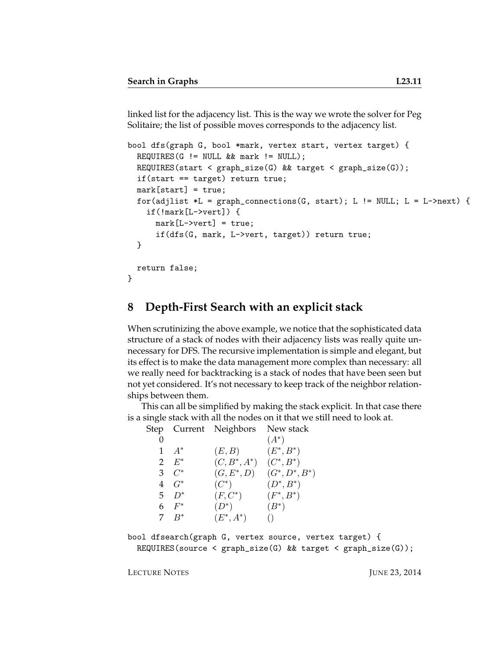linked list for the adjacency list. This is the way we wrote the solver for Peg Solitaire; the list of possible moves corresponds to the adjacency list.

```
bool dfs(graph G, bool *mark, vertex start, vertex target) {
  REQUIRES(G != NULL & \& mark != NULL);REQUIRES(start < graph_size(G) && target < graph_size(G));
  if(start == target) return true;
  mark[start] = true;
  for(adjlist *L = graph\_connections(G, start); L != NULL; L = L->next) {
    if(!mark[L->vert]) {
      mark[L->vert] = true;
      if(dfs(G, mark, L->vert, target)) return true;
  }
 return false;
}
```
### **8 Depth-First Search with an explicit stack**

When scrutinizing the above example, we notice that the sophisticated data structure of a stack of nodes with their adjacency lists was really quite unnecessary for DFS. The recursive implementation is simple and elegant, but its effect is to make the data management more complex than necessary: all we really need for backtracking is a stack of nodes that have been seen but not yet considered. It's not necessary to keep track of the neighbor relationships between them.

This can all be simplified by making the stack explicit. In that case there is a single stack with all the nodes on it that we still need to look at.<br>Step Current Neighborg New stack

| Step                  |               | Current Neighbors New stack |                   |
|-----------------------|---------------|-----------------------------|-------------------|
|                       |               |                             | $(A^*)$           |
|                       | $A^*$         | (E, B)                      | $(E^*, B^*)$      |
| $\mathbf{2}^{\prime}$ | $E^\ast$      | $(C, B^*, A^*)$             | $(C^*, B^*)$      |
|                       | $3 \quad C^*$ | $(G, E^*, D)$               | $(G^*, D^*, B^*)$ |
|                       | $4\quad G^*$  | $(C^*)$                     | $(D^*, B^*)$      |
|                       | $5\quad D^*$  | $(F, C^*)$                  | $(F^*, B^*)$      |
|                       | 6 $F^*$       | $(D^*)$                     | $(B^*)$           |
|                       | $7\quad R^*$  | $(E^*, A^*)$                |                   |

```
bool dfsearch(graph G, vertex source, vertex target) {
 REQUIRES(source < graph_size(G) && target < graph_size(G));
```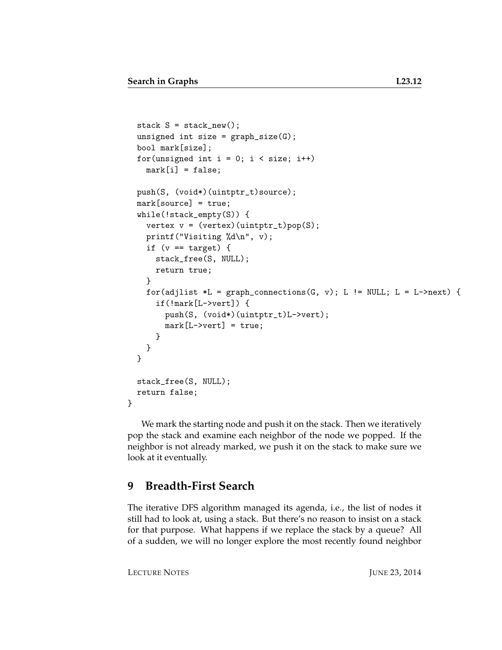```
stack S = stack_new();
 unsigned int size = graph_size(G);
 bool mark[size];
  for(unsigned int i = 0; i < size; i++)
   mark[i] = false;push(S, (void*)(uintptr_t)source);
 mark[source] = true;
 while(!stack_empty(S)) {
   vertex v = (vertex)(uintptr_t)pop(S);printf("Visiting %d\n", v);
    if (v == target) {
      stack_free(S, NULL);
      return true;
   }
   for(adjlist *L = graph_connections(G, v); L != NULL; L = L->next) {
      if(!mark[L->vert]) {
        push(S, (void*)(uintptr_t)L->vert);
        mark[L->vert] = true;
      }
   }
  }
 stack_free(S, NULL);
  return false;
}
```
We mark the starting node and push it on the stack. Then we iteratively pop the stack and examine each neighbor of the node we popped. If the neighbor is not already marked, we push it on the stack to make sure we look at it eventually.

### **9 Breadth-First Search**

The iterative DFS algorithm managed its agenda, i.e., the list of nodes it still had to look at, using a stack. But there's no reason to insist on a stack for that purpose. What happens if we replace the stack by a queue? All of a sudden, we will no longer explore the most recently found neighbor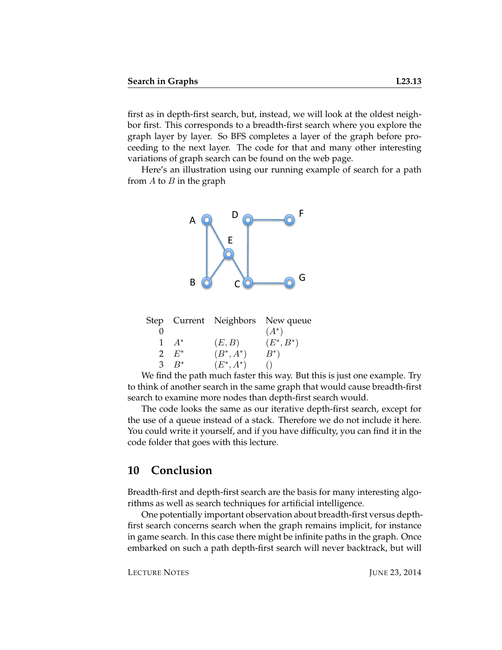first as in depth-first search, but, instead, we will look at the oldest neighbor first. This corresponds to a breadth-first search where you explore the graph layer by layer. So BFS completes a layer of the graph before proceeding to the next layer. The code for that and many other interesting variations of graph search can be found on the web page.

Here's an illustration using our running example of search for a path from  $A$  to  $B$  in the graph



|               |              | Step Current Neighbors New queue |
|---------------|--------------|----------------------------------|
|               |              | $(A^*)$                          |
| $1 \quad A^*$ | (E, B)       | $(E^*, B^*)$                     |
| $2 E^*$       | $(B^*, A^*)$ | $B^*$                            |
| $B^*$         | $(E^*, A^*)$ |                                  |

We find the path much faster this way. But this is just one example. Try to think of another search in the same graph that would cause breadth-first search to examine more nodes than depth-first search would.

The code looks the same as our iterative depth-first search, except for the use of a queue instead of a stack. Therefore we do not include it here. You could write it yourself, and if you have difficulty, you can find it in the code folder that goes with this lecture.

#### **10 Conclusion**

Breadth-first and depth-first search are the basis for many interesting algorithms as well as search techniques for artificial intelligence.

One potentially important observation about breadth-first versus depthfirst search concerns search when the graph remains implicit, for instance in game search. In this case there might be infinite paths in the graph. Once embarked on such a path depth-first search will never backtrack, but will